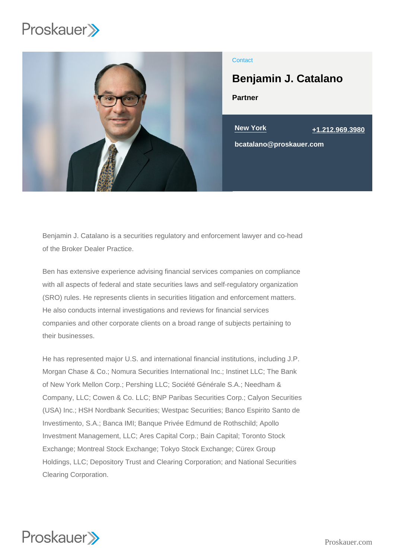

## **Contact**

# Benjamin J. Catalano

Partner

New York [+1.212.969.3980](tel:+1.212.969.3980) bcatalano@proskauer.com

Benjamin J. Catalano is a securities regulatory and enforcement lawyer and co-head of the Broker Dealer Practice.

Ben has extensive experience advising financial services companies on compliance with all aspects of federal and state securities laws and self-regulatory organization (SRO) rules. He represents clients in securities litigation and enforcement matters. He also conducts internal investigations and reviews for financial services companies and other corporate clients on a broad range of subjects pertaining to their businesses.

He has represented major U.S. and international financial institutions, including J.P. Morgan Chase & Co.; Nomura Securities International Inc.; Instinet LLC; The Bank of New York Mellon Corp.; Pershing LLC; Société Générale S.A.; Needham & Company, LLC; Cowen & Co. LLC; BNP Paribas Securities Corp.; Calyon Securities (USA) Inc.; HSH Nordbank Securities; Westpac Securities; Banco Espirito Santo de Investimento, S.A.; Banca IMI; Banque Privée Edmund de Rothschild; Apollo Investment Management, LLC; Ares Capital Corp.; Bain Capital; Toronto Stock Exchange; Montreal Stock Exchange; Tokyo Stock Exchange; Cürex Group Holdings, LLC; Depository Trust and Clearing Corporation; and National Securities Clearing Corporation.

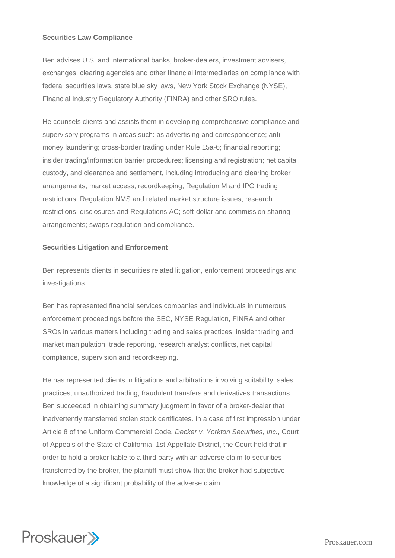# **Securities Law Compliance**

Ben advises U.S. and international banks, broker-dealers, investment advisers, exchanges, clearing agencies and other financial intermediaries on compliance with federal securities laws, state blue sky laws, New York Stock Exchange (NYSE), Financial Industry Regulatory Authority (FINRA) and other SRO rules.

He counsels clients and assists them in developing comprehensive compliance and supervisory programs in areas such: as advertising and correspondence; antimoney laundering; cross-border trading under Rule 15a-6; financial reporting; insider trading/information barrier procedures; licensing and registration; net capital, custody, and clearance and settlement, including introducing and clearing broker arrangements; market access; recordkeeping; Regulation M and IPO trading restrictions; Regulation NMS and related market structure issues; research restrictions, disclosures and Regulations AC; soft-dollar and commission sharing arrangements; swaps regulation and compliance.

# **Securities Litigation and Enforcement**

Ben represents clients in securities related litigation, enforcement proceedings and investigations.

Ben has represented financial services companies and individuals in numerous enforcement proceedings before the SEC, NYSE Regulation, FINRA and other SROs in various matters including trading and sales practices, insider trading and market manipulation, trade reporting, research analyst conflicts, net capital compliance, supervision and recordkeeping.

He has represented clients in litigations and arbitrations involving suitability, sales practices, unauthorized trading, fraudulent transfers and derivatives transactions. Ben succeeded in obtaining summary judgment in favor of a broker-dealer that inadvertently transferred stolen stock certificates. In a case of first impression under Article 8 of the Uniform Commercial Code, Decker v. Yorkton Securities, Inc., Court of Appeals of the State of California, 1st Appellate District, the Court held that in order to hold a broker liable to a third party with an adverse claim to securities transferred by the broker, the plaintiff must show that the broker had subjective knowledge of a significant probability of the adverse claim.

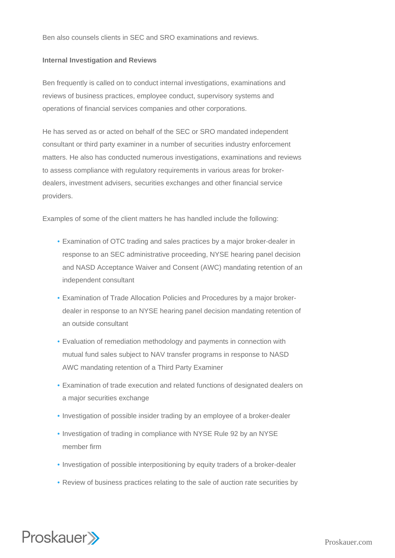Ben also counsels clients in SEC and SRO examinations and reviews.

### **Internal Investigation and Reviews**

Ben frequently is called on to conduct internal investigations, examinations and reviews of business practices, employee conduct, supervisory systems and operations of financial services companies and other corporations.

He has served as or acted on behalf of the SEC or SRO mandated independent consultant or third party examiner in a number of securities industry enforcement matters. He also has conducted numerous investigations, examinations and reviews to assess compliance with regulatory requirements in various areas for brokerdealers, investment advisers, securities exchanges and other financial service providers.

Examples of some of the client matters he has handled include the following:

- Examination of OTC trading and sales practices by a major broker-dealer in response to an SEC administrative proceeding, NYSE hearing panel decision and NASD Acceptance Waiver and Consent (AWC) mandating retention of an independent consultant
- Examination of Trade Allocation Policies and Procedures by a major broker-• dealer in response to an NYSE hearing panel decision mandating retention of an outside consultant
- Evaluation of remediation methodology and payments in connection with mutual fund sales subject to NAV transfer programs in response to NASD AWC mandating retention of a Third Party Examiner
- Examination of trade execution and related functions of designated dealers on a major securities exchange
- Investigation of possible insider trading by an employee of a broker-dealer
- . Investigation of trading in compliance with NYSE Rule 92 by an NYSE member firm
- Investigation of possible interpositioning by equity traders of a broker-dealer
- Review of business practices relating to the sale of auction rate securities by

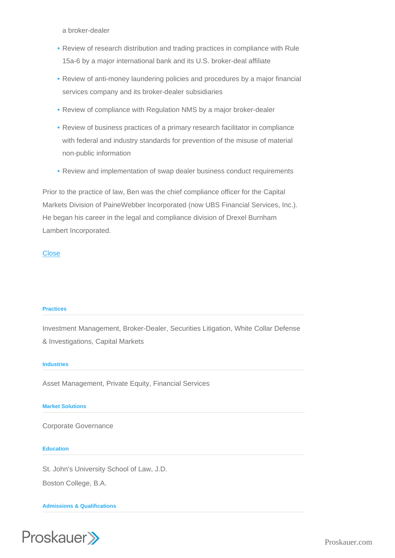a broker-dealer

- Review of research distribution and trading practices in compliance with Rule 15a-6 by a major international bank and its U.S. broker-deal affiliate
- Review of anti-money laundering policies and procedures by a major financial services company and its broker-dealer subsidiaries
- Review of compliance with Regulation NMS by a major broker-dealer
- Review of business practices of a primary research facilitator in compliance with federal and industry standards for prevention of the misuse of material non-public information
- Review and implementation of swap dealer business conduct requirements

Prior to the practice of law, Ben was the chief compliance officer for the Capital Markets Division of PaineWebber Incorporated (now UBS Financial Services, Inc.). He began his career in the legal and compliance division of Drexel Burnham Lambert Incorporated.

# **Close**

#### **Practices**

Investment Management, Broker-Dealer, Securities Litigation, White Collar Defense & Investigations, Capital Markets

#### **Industries**

Asset Management, Private Equity, Financial Services

#### Market Solutions

Corporate Governance

#### **Education**

St. John's University School of Law, J.D.

Boston College, B.A.

Admissions & Qualifications